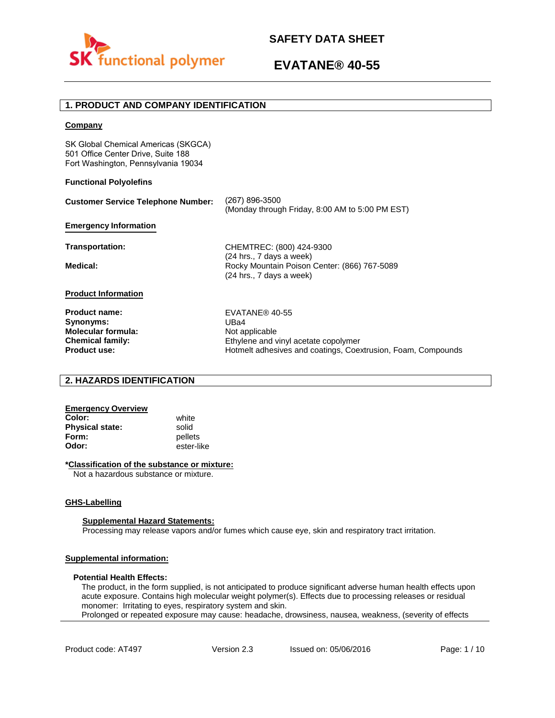

# **1. PRODUCT AND COMPANY IDENTIFICATION**

### **Company**

SK Global Chemical Americas (SKGCA) 501 Office Center Drive, Suite 188 Fort Washington, Pennsylvania 19034

### **Functional Polyolefins**

| <b>Customer Service Telephone Number:</b> | (267) 896-3500<br>(Monday through Friday, 8:00 AM to 5:00 PM EST)                                      |
|-------------------------------------------|--------------------------------------------------------------------------------------------------------|
| <b>Emergency Information</b>              |                                                                                                        |
| Transportation:                           | CHEMTREC: (800) 424-9300                                                                               |
| Medical:                                  | $(24$ hrs., 7 days a week)<br>Rocky Mountain Poison Center: (866) 767-5089<br>(24 hrs., 7 days a week) |
| <b>Product Information</b>                |                                                                                                        |
| <b>Product name:</b>                      | EVATANE® 40-55                                                                                         |
| Synonyms:                                 | UBa4                                                                                                   |
| <b>Molecular formula:</b>                 | Not applicable                                                                                         |
| <b>Chemical family:</b>                   | Ethylene and vinyl acetate copolymer                                                                   |
| <b>Product use:</b>                       | Hotmelt adhesives and coatings, Coextrusion, Foam, Compounds                                           |

## **2. HAZARDS IDENTIFICATION**

#### **Emergency Overview Color:** white

**Physical state:** solid<br> **Form:** nellet **Form:** pellets<br> **Odor:** ester-li

**Odor:** ester-like

## **\*Classification of the substance or mixture:**

Not a hazardous substance or mixture.

## **GHS-Labelling**

### **Supplemental Hazard Statements:**

Processing may release vapors and/or fumes which cause eye, skin and respiratory tract irritation.

## **Supplemental information:**

### **Potential Health Effects:**

The product, in the form supplied, is not anticipated to produce significant adverse human health effects upon acute exposure. Contains high molecular weight polymer(s). Effects due to processing releases or residual monomer: Irritating to eyes, respiratory system and skin. Prolonged or repeated exposure may cause: headache, drowsiness, nausea, weakness, (severity of effects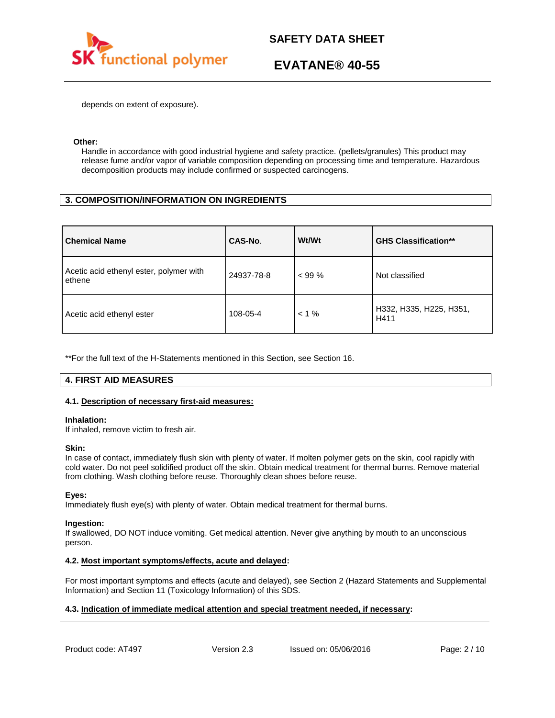

depends on extent of exposure).

### **Other:**

Handle in accordance with good industrial hygiene and safety practice. (pellets/granules) This product may release fume and/or vapor of variable composition depending on processing time and temperature. Hazardous decomposition products may include confirmed or suspected carcinogens.

# **3. COMPOSITION/INFORMATION ON INGREDIENTS**

| <b>Chemical Name</b>                              | CAS-No.    | Wt/Wt    | <b>GHS Classification**</b>     |
|---------------------------------------------------|------------|----------|---------------------------------|
| Acetic acid ethenyl ester, polymer with<br>ethene | 24937-78-8 | $< 99\%$ | Not classified                  |
| Acetic acid ethenyl ester                         | 108-05-4   | $< 1 \%$ | H332, H335, H225, H351,<br>H411 |

\*\*For the full text of the H-Statements mentioned in this Section, see Section 16.

# **4. FIRST AID MEASURES**

## **4.1. Description of necessary first-aid measures:**

### **Inhalation:**

If inhaled, remove victim to fresh air.

### **Skin:**

In case of contact, immediately flush skin with plenty of water. If molten polymer gets on the skin, cool rapidly with cold water. Do not peel solidified product off the skin. Obtain medical treatment for thermal burns. Remove material from clothing. Wash clothing before reuse. Thoroughly clean shoes before reuse.

## **Eyes:**

Immediately flush eye(s) with plenty of water. Obtain medical treatment for thermal burns.

### **Ingestion:**

If swallowed, DO NOT induce vomiting. Get medical attention. Never give anything by mouth to an unconscious person.

## **4.2. Most important symptoms/effects, acute and delayed:**

For most important symptoms and effects (acute and delayed), see Section 2 (Hazard Statements and Supplemental Information) and Section 11 (Toxicology Information) of this SDS.

# **4.3. Indication of immediate medical attention and special treatment needed, if necessary:**

Product code: AT497 Version 2.3 Issued on: 05/06/2016 Page: 2/10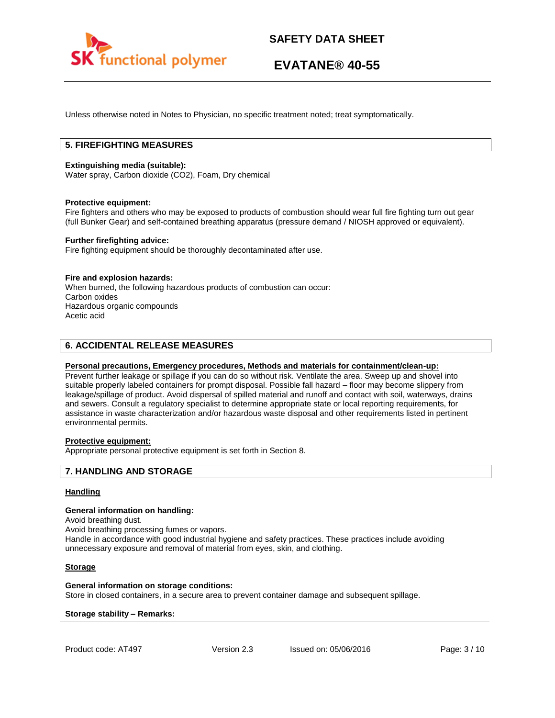

Unless otherwise noted in Notes to Physician, no specific treatment noted; treat symptomatically.

# **5. FIREFIGHTING MEASURES**

### **Extinguishing media (suitable):**

Water spray, Carbon dioxide (CO2), Foam, Dry chemical

### **Protective equipment:**

Fire fighters and others who may be exposed to products of combustion should wear full fire fighting turn out gear (full Bunker Gear) and self-contained breathing apparatus (pressure demand / NIOSH approved or equivalent).

### **Further firefighting advice:**

Fire fighting equipment should be thoroughly decontaminated after use.

### **Fire and explosion hazards:**

When burned, the following hazardous products of combustion can occur: Carbon oxides Hazardous organic compounds Acetic acid

# **6. ACCIDENTAL RELEASE MEASURES**

### **Personal precautions, Emergency procedures, Methods and materials for containment/clean-up:**

Prevent further leakage or spillage if you can do so without risk. Ventilate the area. Sweep up and shovel into suitable properly labeled containers for prompt disposal. Possible fall hazard – floor may become slippery from leakage/spillage of product. Avoid dispersal of spilled material and runoff and contact with soil, waterways, drains and sewers. Consult a regulatory specialist to determine appropriate state or local reporting requirements, for assistance in waste characterization and/or hazardous waste disposal and other requirements listed in pertinent environmental permits.

# **Protective equipment:**

Appropriate personal protective equipment is set forth in Section 8.

## **7. HANDLING AND STORAGE**

### **Handling**

### **General information on handling:**

Avoid breathing dust.

Avoid breathing processing fumes or vapors.

Handle in accordance with good industrial hygiene and safety practices. These practices include avoiding unnecessary exposure and removal of material from eyes, skin, and clothing.

### **Storage**

### **General information on storage conditions:**

Store in closed containers, in a secure area to prevent container damage and subsequent spillage.

### **Storage stability – Remarks:**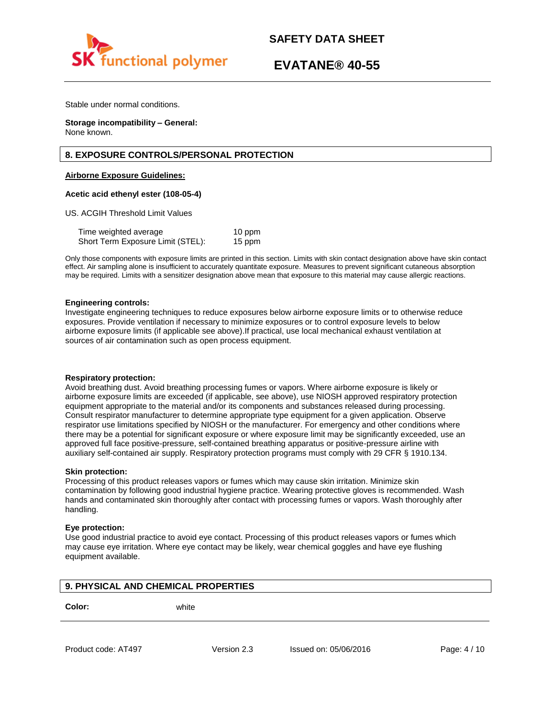

Stable under normal conditions.

**Storage incompatibility – General:**  None known.

# **8. EXPOSURE CONTROLS/PERSONAL PROTECTION**

### **Airborne Exposure Guidelines:**

### **Acetic acid ethenyl ester (108-05-4)**

US. ACGIH Threshold Limit Values

Time weighted average 10 ppm Short Term Exposure Limit (STEL): 15 ppm

Only those components with exposure limits are printed in this section. Limits with skin contact designation above have skin contact effect. Air sampling alone is insufficient to accurately quantitate exposure. Measures to prevent significant cutaneous absorption may be required. Limits with a sensitizer designation above mean that exposure to this material may cause allergic reactions.

### **Engineering controls:**

Investigate engineering techniques to reduce exposures below airborne exposure limits or to otherwise reduce exposures. Provide ventilation if necessary to minimize exposures or to control exposure levels to below airborne exposure limits (if applicable see above).If practical, use local mechanical exhaust ventilation at sources of air contamination such as open process equipment.

### **Respiratory protection:**

Avoid breathing dust. Avoid breathing processing fumes or vapors. Where airborne exposure is likely or airborne exposure limits are exceeded (if applicable, see above), use NIOSH approved respiratory protection equipment appropriate to the material and/or its components and substances released during processing. Consult respirator manufacturer to determine appropriate type equipment for a given application. Observe respirator use limitations specified by NIOSH or the manufacturer. For emergency and other conditions where there may be a potential for significant exposure or where exposure limit may be significantly exceeded, use an approved full face positive-pressure, self-contained breathing apparatus or positive-pressure airline with auxiliary self-contained air supply. Respiratory protection programs must comply with 29 CFR § 1910.134.

### **Skin protection:**

Processing of this product releases vapors or fumes which may cause skin irritation. Minimize skin contamination by following good industrial hygiene practice. Wearing protective gloves is recommended. Wash hands and contaminated skin thoroughly after contact with processing fumes or vapors. Wash thoroughly after handling.

### **Eye protection:**

Use good industrial practice to avoid eye contact. Processing of this product releases vapors or fumes which may cause eye irritation. Where eye contact may be likely, wear chemical goggles and have eye flushing equipment available.

# **9. PHYSICAL AND CHEMICAL PROPERTIES**

**Color:** white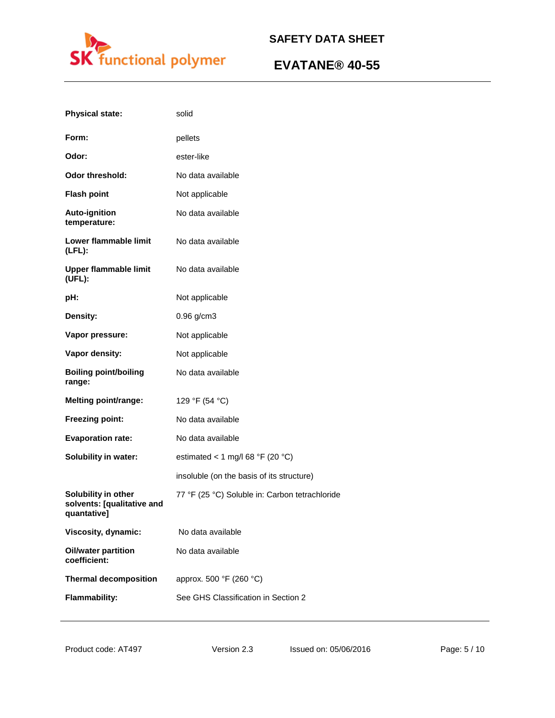

| <b>Physical state:</b>                                           | solid                                          |
|------------------------------------------------------------------|------------------------------------------------|
| Form:                                                            | pellets                                        |
| Odor:                                                            | ester-like                                     |
| <b>Odor threshold:</b>                                           | No data available                              |
| <b>Flash point</b>                                               | Not applicable                                 |
| <b>Auto-ignition</b><br>temperature:                             | No data available                              |
| Lower flammable limit<br>(LFL):                                  | No data available                              |
| Upper flammable limit<br>(UFL):                                  | No data available                              |
| pH:                                                              | Not applicable                                 |
| Density:                                                         | $0.96$ g/cm3                                   |
| Vapor pressure:                                                  | Not applicable                                 |
| Vapor density:                                                   | Not applicable                                 |
| <b>Boiling point/boiling</b><br>range:                           | No data available                              |
| <b>Melting point/range:</b>                                      | 129 °F (54 °C)                                 |
| <b>Freezing point:</b>                                           | No data available                              |
| <b>Evaporation rate:</b>                                         | No data available                              |
| <b>Solubility in water:</b>                                      | estimated < 1 mg/l 68 °F (20 °C)               |
|                                                                  | insoluble (on the basis of its structure)      |
| Solubility in other<br>solvents: [qualitative and<br>quantative] | 77 °F (25 °C) Soluble in: Carbon tetrachloride |
| Viscosity, dynamic:                                              | No data available                              |
| <b>Oil/water partition</b><br>coefficient:                       | No data available                              |
| <b>Thermal decomposition</b>                                     | approx. 500 °F (260 °C)                        |
| <b>Flammability:</b>                                             | See GHS Classification in Section 2            |
|                                                                  |                                                |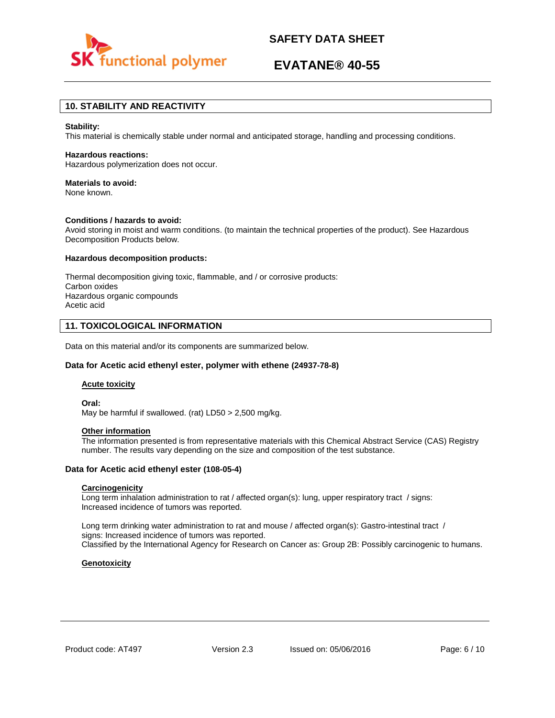

# **EVATANE® 40-55**

# **10. STABILITY AND REACTIVITY**

### **Stability:**

This material is chemically stable under normal and anticipated storage, handling and processing conditions.

#### **Hazardous reactions:**

Hazardous polymerization does not occur.

### **Materials to avoid:**

None known.

### **Conditions / hazards to avoid:**

Avoid storing in moist and warm conditions. (to maintain the technical properties of the product). See Hazardous Decomposition Products below.

#### **Hazardous decomposition products:**

Thermal decomposition giving toxic, flammable, and / or corrosive products: Carbon oxides Hazardous organic compounds Acetic acid

## **11. TOXICOLOGICAL INFORMATION**

Data on this material and/or its components are summarized below.

### **Data for Acetic acid ethenyl ester, polymer with ethene (24937-78-8)**

#### **Acute toxicity**

**Oral:**

May be harmful if swallowed. (rat) LD50 > 2,500 mg/kg.

## **Other information**

The information presented is from representative materials with this Chemical Abstract Service (CAS) Registry number. The results vary depending on the size and composition of the test substance.

### **Data for Acetic acid ethenyl ester (108-05-4)**

### **Carcinogenicity**

Long term inhalation administration to rat / affected organ(s): lung, upper respiratory tract / signs: Increased incidence of tumors was reported.

Long term drinking water administration to rat and mouse / affected organ(s): Gastro-intestinal tract / signs: Increased incidence of tumors was reported. Classified by the International Agency for Research on Cancer as: Group 2B: Possibly carcinogenic to humans.

### **Genotoxicity**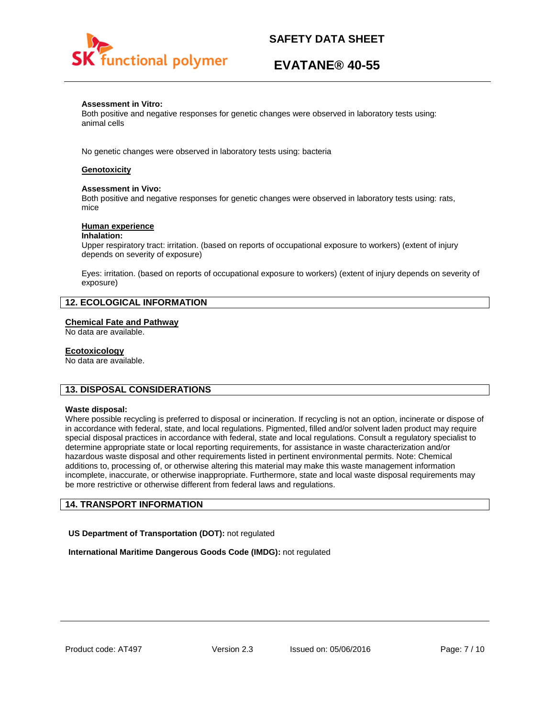

# **EVATANE® 40-55**

### **Assessment in Vitro:**

Both positive and negative responses for genetic changes were observed in laboratory tests using: animal cells

No genetic changes were observed in laboratory tests using: bacteria

# **Genotoxicity**

### **Assessment in Vivo:**

Both positive and negative responses for genetic changes were observed in laboratory tests using: rats, mice

### **Human experience**

### **Inhalation:**

Upper respiratory tract: irritation. (based on reports of occupational exposure to workers) (extent of injury depends on severity of exposure)

Eyes: irritation. (based on reports of occupational exposure to workers) (extent of injury depends on severity of exposure)

# **12. ECOLOGICAL INFORMATION**

## **Chemical Fate and Pathway**

No data are available.

### **Ecotoxicology**

No data are available.

## **13. DISPOSAL CONSIDERATIONS**

### **Waste disposal:**

Where possible recycling is preferred to disposal or incineration. If recycling is not an option, incinerate or dispose of in accordance with federal, state, and local regulations. Pigmented, filled and/or solvent laden product may require special disposal practices in accordance with federal, state and local regulations. Consult a regulatory specialist to determine appropriate state or local reporting requirements, for assistance in waste characterization and/or hazardous waste disposal and other requirements listed in pertinent environmental permits. Note: Chemical additions to, processing of, or otherwise altering this material may make this waste management information incomplete, inaccurate, or otherwise inappropriate. Furthermore, state and local waste disposal requirements may be more restrictive or otherwise different from federal laws and regulations.

# **14. TRANSPORT INFORMATION**

**US Department of Transportation (DOT):** not regulated

**International Maritime Dangerous Goods Code (IMDG):** not regulated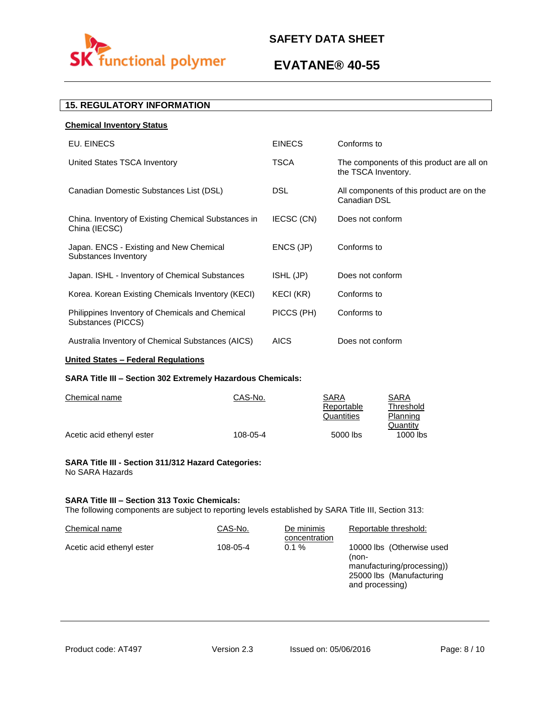

# **EVATANE® 40-55**

# **15. REGULATORY INFORMATION**

| <b>Chemical Inventory Status</b>                                      |               |                                                                  |
|-----------------------------------------------------------------------|---------------|------------------------------------------------------------------|
| EU. EINECS                                                            | <b>EINECS</b> | Conforms to                                                      |
| United States TSCA Inventory                                          | <b>TSCA</b>   | The components of this product are all on<br>the TSCA Inventory. |
| Canadian Domestic Substances List (DSL)                               | <b>DSL</b>    | All components of this product are on the<br>Canadian DSL        |
| China. Inventory of Existing Chemical Substances in<br>China (IECSC)  | IECSC (CN)    | Does not conform                                                 |
| Japan. ENCS - Existing and New Chemical<br>Substances Inventory       | ENCS (JP)     | Conforms to                                                      |
| Japan. ISHL - Inventory of Chemical Substances                        | ISHL (JP)     | Does not conform                                                 |
| Korea. Korean Existing Chemicals Inventory (KECI)                     | KECI (KR)     | Conforms to                                                      |
| Philippines Inventory of Chemicals and Chemical<br>Substances (PICCS) | PICCS (PH)    | Conforms to                                                      |
| Australia Inventory of Chemical Substances (AICS)                     | <b>AICS</b>   | Does not conform                                                 |

# **United States – Federal Regulations**

# **SARA Title III – Section 302 Extremely Hazardous Chemicals:**

| Chemical name             | CAS-No.  | SARA       | SARA       |
|---------------------------|----------|------------|------------|
|                           |          | Reportable | Threshold  |
|                           |          | Quantities | Planning   |
|                           |          |            | Quantity   |
| Acetic acid ethenyl ester | 108-05-4 | 5000 lbs   | $1000$ lbs |

### **SARA Title III - Section 311/312 Hazard Categories:**  No SARA Hazards

## **SARA Title III – Section 313 Toxic Chemicals:**

The following components are subject to reporting levels established by SARA Title III, Section 313:

| Chemical name             | CAS-No.  | De minimis<br>concentration | Reportable threshold:                                                                                           |
|---------------------------|----------|-----------------------------|-----------------------------------------------------------------------------------------------------------------|
| Acetic acid ethenyl ester | 108-05-4 | $0.1 \%$                    | 10000 lbs (Otherwise used<br>(non-<br>manufacturing/processing))<br>25000 lbs (Manufacturing<br>and processing) |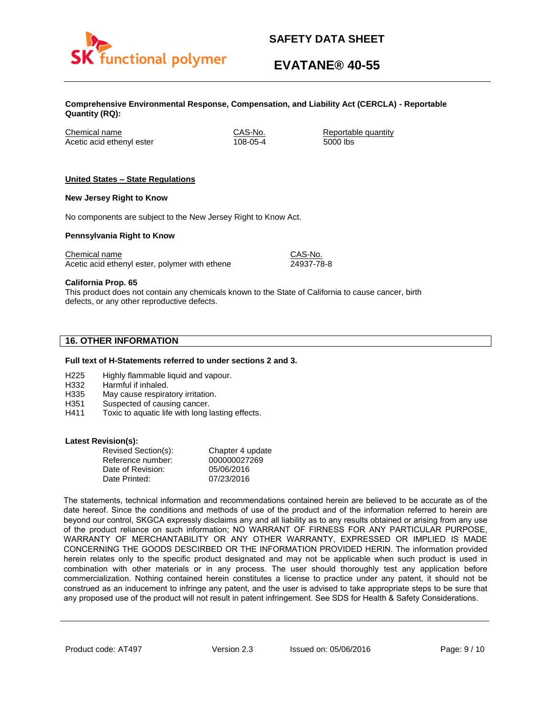

# **EVATANE® 40-55**

**Comprehensive Environmental Response, Compensation, and Liability Act (CERCLA) - Reportable Quantity (RQ):**

Chemical name CAS-No. Reportable quantity Acetic acid ethenyl ester 108-05-4 5000 lbs

## **United States – State Regulations**

### **New Jersey Right to Know**

No components are subject to the New Jersey Right to Know Act.

### **Pennsylvania Right to Know**

Chemical name Chemical name CAS-No. Acetic acid ethenyl ester, polymer with ethene 24937-78-8

**California Prop. 65**

This product does not contain any chemicals known to the State of California to cause cancer, birth defects, or any other reproductive defects.

# **16. OTHER INFORMATION**

### **Full text of H-Statements referred to under sections 2 and 3.**

- H225 Highly flammable liquid and vapour.
- H332 Harmful if inhaled.
- H335 May cause respiratory irritation.
- H351 Suspected of causing cancer.
- H411 Toxic to aquatic life with long lasting effects.

### **Latest Revision(s):**

| Revised Section(s): | Chapter 4 update |
|---------------------|------------------|
| Reference number:   | 000000027269     |
| Date of Revision:   | 05/06/2016       |
| Date Printed:       | 07/23/2016       |

The statements, technical information and recommendations contained herein are believed to be accurate as of the date hereof. Since the conditions and methods of use of the product and of the information referred to herein are beyond our control, SKGCA expressly disclaims any and all liability as to any results obtained or arising from any use of the product reliance on such information; NO WARRANT OF FIRNESS FOR ANY PARTICULAR PURPOSE, WARRANTY OF MERCHANTABILITY OR ANY OTHER WARRANTY, EXPRESSED OR IMPLIED IS MADE CONCERNING THE GOODS DESCIRBED OR THE INFORMATION PROVIDED HERIN. The information provided herein relates only to the specific product designated and may not be applicable when such product is used in combination with other materials or in any process. The user should thoroughly test any application before commercialization. Nothing contained herein constitutes a license to practice under any patent, it should not be construed as an inducement to infringe any patent, and the user is advised to take appropriate steps to be sure that any proposed use of the product will not result in patent infringement. See SDS for Health & Safety Considerations.

Product code: AT497 Version 2.3 Issued on: 05/06/2016 Page: 9/10